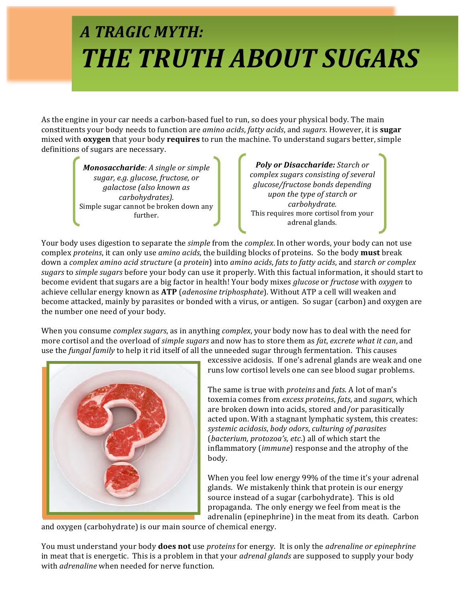# *A TRAGIC MYTH: THE TRUTH ABOUT SUGARS*

As the engine in your car needs a carbon-based fuel to run, so does your physical body. The main constituents your body needs to function are *amino acids*, *fatty acids*, and *sugars*. However, it is **sugar** mixed with **oxygen** that your body **requires** to run the machine. To understand sugars better, simple definitions of sugars are necessary.

> *Monosaccharide: A sinale or simple sugar, e.g. glucose, fructose, or galactose (also known as carbohydrates).* Simple sugar cannot be broken down any further.

**Poly or Disaccharide:** Starch or complex sugars consisting of several *glucose/fructose bonds depending upon* the type of starch or *carbohydrate.* This requires more cortisol from your adrenal glands.

Your body uses digestion to separate the *simple* from the *complex*. In other words, your body can not use complex *proteins*, it can only use *amino acids*, the building blocks of proteins. So the body **must** break down a *complex amino acid structure* (*a protein*) into *amino acids, fats to fatty acids*, and *starch or complex* sugars to *simple sugars* before your body can use it properly. With this factual information, it should start to become evident that sugars are a big factor in health! Your body mixes *glucose* or *fructose* with *oxygen* to achieve cellular energy known as **ATP** (*adenosine triphosphate*). Without ATP a cell will weaken and become attacked, mainly by parasites or bonded with a virus, or antigen. So sugar (carbon) and oxygen are the number one need of your body.

When you consume *complex sugars*, as in anything *complex*, your body now has to deal with the need for more cortisol and the overload of *simple sugars* and now has to store them as *fat, excrete what it can*, and use the *fungal family* to help it rid itself of all the unneeded sugar through fermentation. This causes



excessive acidosis. If one's adrenal glands are weak and one runs low cortisol levels one can see blood sugar problems.

The same is true with *proteins* and *fats*. A lot of man's toxemia comes from excess proteins, fats, and sugars, which are broken down into acids, stored and/or parasitically acted upon. With a stagnant lymphatic system, this creates: *systemic acidosis*, *body odors*, *culturing of parasites* (*bacterium, protozoa's, etc.*) all of which start the inflammatory *(immune)* response and the atrophy of the body. 

When you feel low energy 99% of the time it's your adrenal glands. We mistakenly think that protein is our energy source instead of a sugar (carbohydrate). This is old propaganda. The only energy we feel from meat is the adrenalin (epinephrine) in the meat from its death. Carbon

and oxygen (carbohydrate) is our main source of chemical energy.

You must understand your body **does not** use *proteins* for energy. It is only the *adrenaline or epinephrine* in meat that is energetic. This is a problem in that your *adrenal glands* are supposed to supply your body with *adrenaline* when needed for nerve function.